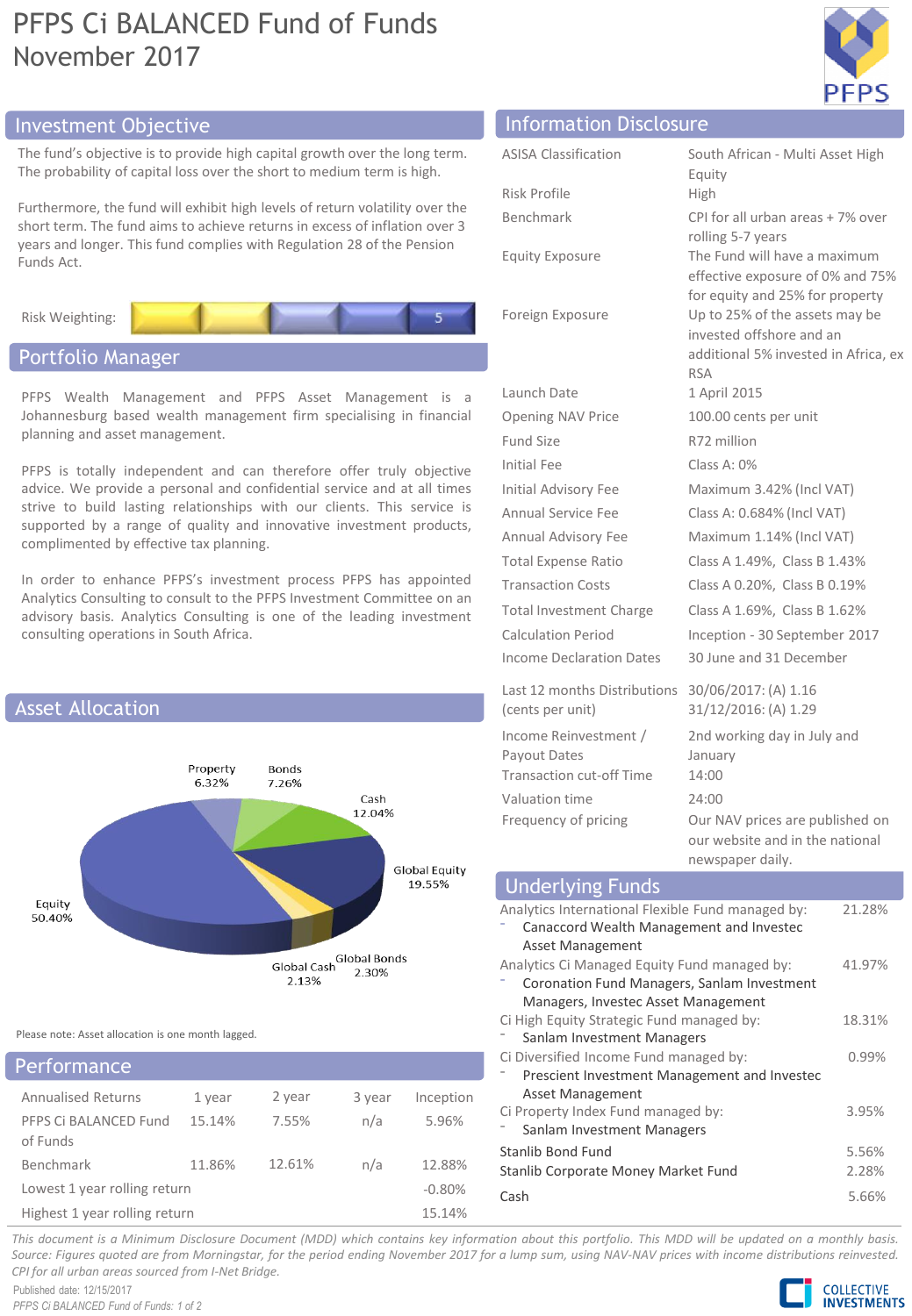# PFPS Ci BALANCED Fund of Funds November 2017



## Investment Objective Information Disclosure

The fund's objective is to provide high capital growth over The probability of capital loss over the short to medium to

Furthermore, the fund will exhibit high levels of return vo short term. The fund aims to achieve returns in excess of years and longer. This fund complies with Regulation 28 of Funds Act.

Risk Weighting:

# Portfolio Manager

PFPS Wealth Management and PFPS Asset Management is a Johannesburg based wealth management firm specialising in financial planning and asset management.

PFPS is totally independent and can therefore offer truly objective advice. We provide a personal and confidential service and at all times strive to build lasting relationships with our clients. This service is supported by a range of quality and innovative investment products, complimented by effective tax planning.

In order to enhance PFPS's investment process PFPS has appointed Analytics Consulting to consult to the PFPS Investment Committee on an advisory basis. Analytics Consulting is one of the leading investment consulting operations in South Africa.



Please note: Asset allocation is one month lagged.

| Performance                       |        |        |        |           |
|-----------------------------------|--------|--------|--------|-----------|
| <b>Annualised Returns</b>         | 1 year | 2 year | 3 year | Inception |
| PFPS Ci BALANCED Fund<br>of Funds | 15.14% | 7.55%  | n/a    | 5.96%     |
| Benchmark                         | 11.86% | 12.61% | n/a    | 12.88%    |
| Lowest 1 year rolling return      |        |        |        | $-0.80%$  |
| Highest 1 year rolling return     |        |        |        | 15.14%    |

| r the long term.<br>erm is high.                         | <b>ASISA Classification</b> | South African - Multi Asset High<br>Equity |
|----------------------------------------------------------|-----------------------------|--------------------------------------------|
| olatility over the<br>inflation over 3<br>of the Pension | Risk Profile                | <b>High</b>                                |
|                                                          | Benchmark                   | CPI for all urban areas + 7% over          |
|                                                          |                             | rolling 5-7 years                          |
|                                                          | <b>Equity Exposure</b>      | The Fund will have a maximum               |

Launch Date 1 April 2015 Opening NAV Price 100.00 cents per unit Fund Size R72 million Initial Fee Class A: 0%

(cents per unit) Income Reinvestment / Payout Dates Transaction cut-off Time 14:00 Valuation time 24:00

quity PI for all urban areas + 7% over rolling 5-7 years Equity Exposure The Fund will have a maximum effective exposure of 0% and 75% for equity and 25% for property Foreign Exposure Up to 25% of the assets may be invested offshore and an additional 5% invested in Africa, ex RSA Initial Advisory Fee Maximum 3.42% (Incl VAT) Annual Service Fee Class A: 0.684% (Incl VAT) Annual Advisory Fee Maximum 1.14% (Incl VAT) Total Expense Ratio Class A 1.49%, Class B 1.43% Transaction Costs Class A 0.20%, Class B 0.19% Total Investment Charge Class A 1.69%, Class B 1.62% Calculation Period Inception - 30 September 2017 Income Declaration Dates 30 June and 31 December

Last 12 months Distributions 30/06/2017: (A) 1.16 31/12/2016: (A) 1.29 2nd working day in July and January Frequency of pricing Our NAV prices are published on our website and in the national newspaper daily.

#### Analytics International Flexible Fund managed by: ⁻ Canaccord Wealth Management and Investec Asset Management 21.28% Analytics Ci Managed Equity Fund managed by: ⁻ Coronation Fund Managers, Sanlam Investment Managers, Investec Asset Management 41.97% Ci High Equity Strategic Fund managed by: Sanlam Investment Managers 18.31% Ci Diversified Income Fund managed by: ⁻ Prescient Investment Management and Investec Asset Management 0.99% Ci Property Index Fund managed by: Sanlam Investment Managers 3.95% Stanlib Bond Fund 5.56% Stanlib Corporate Money Market Fund 2.28% Cash 5.66% Underlying Funds

This document is a Minimum Disclosure Document (MDD) which contains key information about this portfolio. This MDD will be updated on a monthly basis. Source: Figures guoted are from Morningstar, for the period ending November 2017 for a lump sum, using NAV-NAV prices with income distributions reinvested. *CPI for all urban areas sourced from I-Net Bridge.*

Published date: 12/15/2017 *PFPS Ci BALANCED Fund of Funds: 1 of 2*